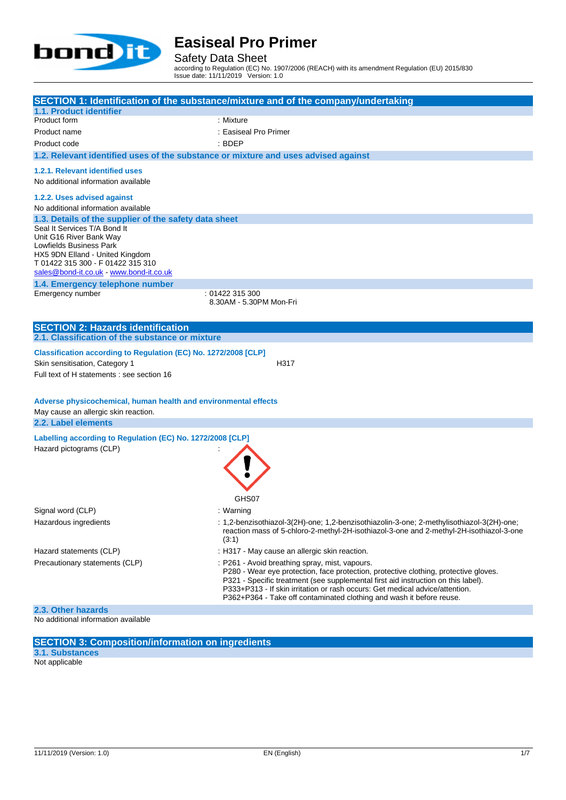

Safety Data Sheet

according to Regulation (EC) No. 1907/2006 (REACH) with its amendment Regulation (EU) 2015/830 Issue date: 11/11/2019 Version: 1.0

|                                                                                                                                                                                                                                                                | SECTION 1: Identification of the substance/mixture and of the company/undertaking                                                                                                                                                                                                                                                                                                   |
|----------------------------------------------------------------------------------------------------------------------------------------------------------------------------------------------------------------------------------------------------------------|-------------------------------------------------------------------------------------------------------------------------------------------------------------------------------------------------------------------------------------------------------------------------------------------------------------------------------------------------------------------------------------|
| 1.1. Product identifier                                                                                                                                                                                                                                        |                                                                                                                                                                                                                                                                                                                                                                                     |
| Product form                                                                                                                                                                                                                                                   | : Mixture                                                                                                                                                                                                                                                                                                                                                                           |
| Product name                                                                                                                                                                                                                                                   | : Easiseal Pro Primer                                                                                                                                                                                                                                                                                                                                                               |
| Product code                                                                                                                                                                                                                                                   | $:$ BDFP                                                                                                                                                                                                                                                                                                                                                                            |
| 1.2. Relevant identified uses of the substance or mixture and uses advised against                                                                                                                                                                             |                                                                                                                                                                                                                                                                                                                                                                                     |
| 1.2.1. Relevant identified uses<br>No additional information available                                                                                                                                                                                         |                                                                                                                                                                                                                                                                                                                                                                                     |
| 1.2.2. Uses advised against<br>No additional information available                                                                                                                                                                                             |                                                                                                                                                                                                                                                                                                                                                                                     |
| 1.3. Details of the supplier of the safety data sheet<br>Seal It Services T/A Bond It<br>Unit G16 River Bank Way<br>Lowfields Business Park<br>HX5 9DN Elland - United Kingdom<br>T 01422 315 300 - F 01422 315 310<br>sales@bond-it.co.uk - www.bond-it.co.uk |                                                                                                                                                                                                                                                                                                                                                                                     |
| 1.4. Emergency telephone number                                                                                                                                                                                                                                |                                                                                                                                                                                                                                                                                                                                                                                     |
| Emergency number                                                                                                                                                                                                                                               | : 01422 315 300<br>8.30AM - 5.30PM Mon-Fri                                                                                                                                                                                                                                                                                                                                          |
| <b>SECTION 2: Hazards identification</b>                                                                                                                                                                                                                       |                                                                                                                                                                                                                                                                                                                                                                                     |
| 2.1. Classification of the substance or mixture                                                                                                                                                                                                                |                                                                                                                                                                                                                                                                                                                                                                                     |
| Classification according to Regulation (EC) No. 1272/2008 [CLP]<br>Skin sensitisation, Category 1<br>Full text of H statements : see section 16                                                                                                                | H317                                                                                                                                                                                                                                                                                                                                                                                |
| Adverse physicochemical, human health and environmental effects<br>May cause an allergic skin reaction.                                                                                                                                                        |                                                                                                                                                                                                                                                                                                                                                                                     |
| 2.2. Label elements                                                                                                                                                                                                                                            |                                                                                                                                                                                                                                                                                                                                                                                     |
| Labelling according to Regulation (EC) No. 1272/2008 [CLP]<br>Hazard pictograms (CLP)                                                                                                                                                                          | GHS07                                                                                                                                                                                                                                                                                                                                                                               |
| Signal word (CLP)                                                                                                                                                                                                                                              | : Warning                                                                                                                                                                                                                                                                                                                                                                           |
| Hazardous ingredients                                                                                                                                                                                                                                          | : 1,2-benzisothiazol-3(2H)-one; 1,2-benzisothiazolin-3-one; 2-methylisothiazol-3(2H)-one;<br>reaction mass of 5-chloro-2-methyl-2H-isothiazol-3-one and 2-methyl-2H-isothiazol-3-one<br>(3:1)                                                                                                                                                                                       |
| Hazard statements (CLP)                                                                                                                                                                                                                                        | : H317 - May cause an allergic skin reaction.                                                                                                                                                                                                                                                                                                                                       |
| Precautionary statements (CLP)                                                                                                                                                                                                                                 | : P261 - Avoid breathing spray, mist, vapours.<br>P280 - Wear eye protection, face protection, protective clothing, protective gloves.<br>P321 - Specific treatment (see supplemental first aid instruction on this label).<br>P333+P313 - If skin irritation or rash occurs: Get medical advice/attention.<br>P362+P364 - Take off contaminated clothing and wash it before reuse. |
| 2.3. Other hazards                                                                                                                                                                                                                                             |                                                                                                                                                                                                                                                                                                                                                                                     |
| No additional information available                                                                                                                                                                                                                            |                                                                                                                                                                                                                                                                                                                                                                                     |

**SECTION 3: Composition/information on ingredients 3.1. Substances**

Not applicable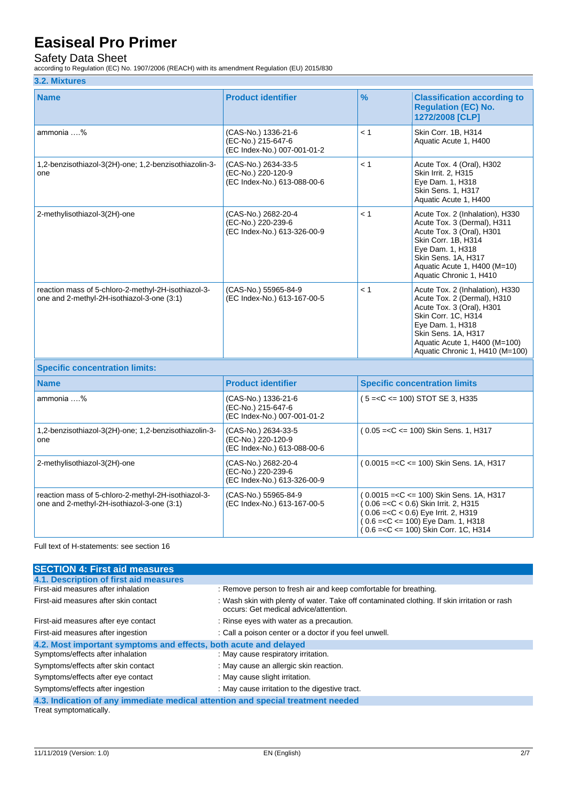## Safety Data Sheet

according to Regulation (EC) No. 1907/2006 (REACH) with its amendment Regulation (EU) 2015/830

### **3.2. Mixtures**

| <b>Name</b>                                                                                       | <b>Product identifier</b>                                                | $\frac{9}{6}$                                                                                                                                                                                              | <b>Classification according to</b><br><b>Regulation (EC) No.</b><br>1272/2008 [CLP]                                                                                                                                               |
|---------------------------------------------------------------------------------------------------|--------------------------------------------------------------------------|------------------------------------------------------------------------------------------------------------------------------------------------------------------------------------------------------------|-----------------------------------------------------------------------------------------------------------------------------------------------------------------------------------------------------------------------------------|
| ammonia %                                                                                         | (CAS-No.) 1336-21-6<br>(EC-No.) 215-647-6<br>(EC Index-No.) 007-001-01-2 | < 1                                                                                                                                                                                                        | Skin Corr. 1B, H314<br>Aquatic Acute 1, H400                                                                                                                                                                                      |
| 1,2-benzisothiazol-3(2H)-one; 1,2-benzisothiazolin-3-<br>one                                      | (CAS-No.) 2634-33-5<br>(EC-No.) 220-120-9<br>(EC Index-No.) 613-088-00-6 | < 1                                                                                                                                                                                                        | Acute Tox. 4 (Oral), H302<br>Skin Irrit. 2, H315<br>Eye Dam. 1, H318<br>Skin Sens. 1, H317<br>Aquatic Acute 1, H400                                                                                                               |
| 2-methylisothiazol-3(2H)-one                                                                      | (CAS-No.) 2682-20-4<br>(EC-No.) 220-239-6<br>(EC Index-No.) 613-326-00-9 | < 1                                                                                                                                                                                                        | Acute Tox. 2 (Inhalation), H330<br>Acute Tox. 3 (Dermal), H311<br>Acute Tox. 3 (Oral), H301<br>Skin Corr. 1B, H314<br>Eye Dam. 1, H318<br>Skin Sens. 1A, H317<br>Aquatic Acute 1, H400 (M=10)<br>Aquatic Chronic 1, H410          |
| reaction mass of 5-chloro-2-methyl-2H-isothiazol-3-<br>one and 2-methyl-2H-isothiazol-3-one (3:1) | (CAS-No.) 55965-84-9<br>(EC Index-No.) 613-167-00-5                      | < 1                                                                                                                                                                                                        | Acute Tox. 2 (Inhalation), H330<br>Acute Tox. 2 (Dermal), H310<br>Acute Tox. 3 (Oral), H301<br>Skin Corr. 1C, H314<br>Eye Dam. 1, H318<br>Skin Sens. 1A, H317<br>Aquatic Acute 1, H400 (M=100)<br>Aquatic Chronic 1, H410 (M=100) |
| <b>Specific concentration limits:</b>                                                             |                                                                          |                                                                                                                                                                                                            |                                                                                                                                                                                                                                   |
| <b>Name</b>                                                                                       | <b>Product identifier</b>                                                |                                                                                                                                                                                                            | <b>Specific concentration limits</b>                                                                                                                                                                                              |
| ammonia %                                                                                         | (CAS-No.) 1336-21-6<br>(EC-No.) 215-647-6<br>(EC Index-No.) 007-001-01-2 | $(5 = < C < = 100)$ STOT SE 3, H335                                                                                                                                                                        |                                                                                                                                                                                                                                   |
| 1,2-benzisothiazol-3(2H)-one; 1,2-benzisothiazolin-3-<br>one                                      | (CAS-No.) 2634-33-5<br>(EC-No.) 220-120-9<br>(EC Index-No.) 613-088-00-6 | $(0.05 = < C < 100)$ Skin Sens. 1, H317                                                                                                                                                                    |                                                                                                                                                                                                                                   |
| 2-methylisothiazol-3(2H)-one                                                                      | (CAS-No.) 2682-20-4<br>(EC-No.) 220-239-6<br>(EC Index-No.) 613-326-00-9 | (0.0015 = < C < = 100) Skin Sens. 1A, H317                                                                                                                                                                 |                                                                                                                                                                                                                                   |
| reaction mass of 5-chloro-2-methyl-2H-isothiazol-3-<br>one and 2-methyl-2H-isothiazol-3-one (3:1) | (CAS-No.) 55965-84-9<br>(EC Index-No.) 613-167-00-5                      | (0.0015 = < C < = 100) Skin Sens. 1A, H317<br>$(0.06 = < C < 0.6)$ Skin Irrit. 2, H315<br>$(0.06 = < C < 0.6)$ Eye Irrit. 2, H319<br>$(0.6 = < C < 100)$ Eye Dam. 1, H318<br>$(0.6 =  Skin Corr. 1C, H314$ |                                                                                                                                                                                                                                   |

Full text of H-statements: see section 16

| <b>SECTION 4: First aid measures</b>                                            |                                                                                                                                       |
|---------------------------------------------------------------------------------|---------------------------------------------------------------------------------------------------------------------------------------|
| 4.1. Description of first aid measures                                          |                                                                                                                                       |
| First-aid measures after inhalation                                             | : Remove person to fresh air and keep comfortable for breathing.                                                                      |
| First-aid measures after skin contact                                           | : Wash skin with plenty of water. Take off contaminated clothing. If skin irritation or rash<br>occurs: Get medical advice/attention. |
| First-aid measures after eye contact                                            | : Rinse eyes with water as a precaution.                                                                                              |
| First-aid measures after ingestion                                              | : Call a poison center or a doctor if you feel unwell.                                                                                |
| 4.2. Most important symptoms and effects, both acute and delayed                |                                                                                                                                       |
| Symptoms/effects after inhalation                                               | : May cause respiratory irritation.                                                                                                   |
| Symptoms/effects after skin contact                                             | : May cause an allergic skin reaction.                                                                                                |
| Symptoms/effects after eye contact                                              | : May cause slight irritation.                                                                                                        |
| Symptoms/effects after ingestion                                                | : May cause irritation to the digestive tract.                                                                                        |
| 4.3. Indication of any immediate medical attention and special treatment needed |                                                                                                                                       |
| Treat symptomatically.                                                          |                                                                                                                                       |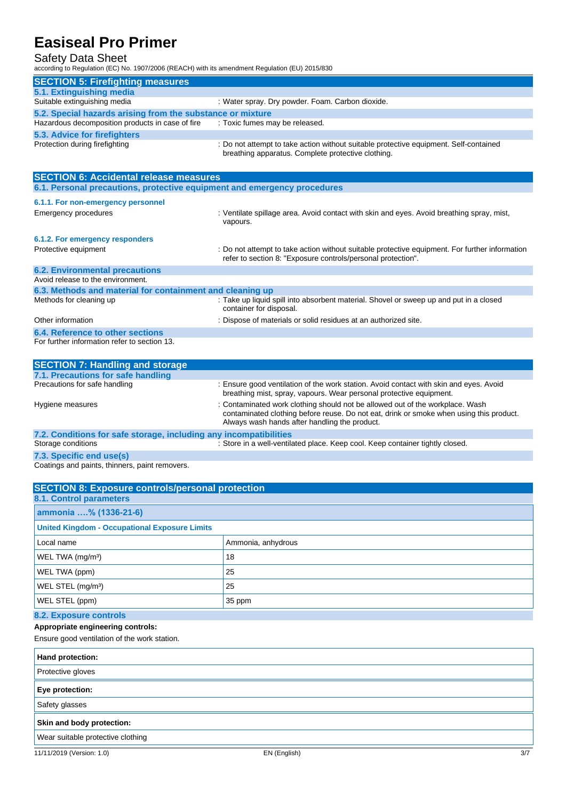## Safety Data Sheet

according to Regulation (EC) No. 1907/2006 (REACH) with its amendment Regulation (EU) 2015/830

| <b>SECTION 5: Firefighting measures</b>                    |                                                                                                                                             |
|------------------------------------------------------------|---------------------------------------------------------------------------------------------------------------------------------------------|
| 5.1. Extinguishing media                                   |                                                                                                                                             |
| Suitable extinguishing media                               | : Water spray. Dry powder. Foam. Carbon dioxide.                                                                                            |
| 5.2. Special hazards arising from the substance or mixture |                                                                                                                                             |
| Hazardous decomposition products in case of fire           | : Toxic fumes may be released.                                                                                                              |
| 5.3. Advice for firefighters                               |                                                                                                                                             |
| Protection during firefighting                             | : Do not attempt to take action without suitable protective equipment. Self-contained<br>breathing apparatus. Complete protective clothing. |

| <b>SECTION 6: Accidental release measures</b>                            |                                                                                                                                                                |  |
|--------------------------------------------------------------------------|----------------------------------------------------------------------------------------------------------------------------------------------------------------|--|
| 6.1. Personal precautions, protective equipment and emergency procedures |                                                                                                                                                                |  |
| 6.1.1. For non-emergency personnel                                       |                                                                                                                                                                |  |
| Emergency procedures                                                     | : Ventilate spillage area. Avoid contact with skin and eyes. Avoid breathing spray, mist,<br>vapours.                                                          |  |
| 6.1.2. For emergency responders                                          |                                                                                                                                                                |  |
| Protective equipment                                                     | : Do not attempt to take action without suitable protective equipment. For further information<br>refer to section 8: "Exposure controls/personal protection". |  |
| <b>6.2. Environmental precautions</b>                                    |                                                                                                                                                                |  |
| Avoid release to the environment.                                        |                                                                                                                                                                |  |
| 6.3. Methods and material for containment and cleaning up                |                                                                                                                                                                |  |
| Methods for cleaning up                                                  | : Take up liquid spill into absorbent material. Shovel or sweep up and put in a closed<br>container for disposal.                                              |  |
| Other information                                                        | : Dispose of materials or solid residues at an authorized site.                                                                                                |  |
| 6.4. Reference to other sections                                         |                                                                                                                                                                |  |
| For further information refer to section 13.                             |                                                                                                                                                                |  |

| <b>SECTION 7: Handling and storage</b>                            |                                                                                                                                                                                                                           |
|-------------------------------------------------------------------|---------------------------------------------------------------------------------------------------------------------------------------------------------------------------------------------------------------------------|
| 7.1. Precautions for safe handling                                |                                                                                                                                                                                                                           |
| Precautions for safe handling                                     | : Ensure good ventilation of the work station. Avoid contact with skin and eyes. Avoid<br>breathing mist, spray, vapours. Wear personal protective equipment.                                                             |
| Hygiene measures                                                  | : Contaminated work clothing should not be allowed out of the workplace. Wash<br>contaminated clothing before reuse. Do not eat, drink or smoke when using this product.<br>Always wash hands after handling the product. |
| 7.2. Conditions for safe storage, including any incompatibilities |                                                                                                                                                                                                                           |
| Storage conditions                                                | : Store in a well-ventilated place. Keep cool. Keep container tightly closed.                                                                                                                                             |

## **7.3. Specific end use(s)**

Coatings and paints, thinners, paint removers.

| <b>SECTION 8: Exposure controls/personal protection</b> |                    |  |
|---------------------------------------------------------|--------------------|--|
| <b>8.1. Control parameters</b>                          |                    |  |
| ammonia % (1336-21-6)                                   |                    |  |
| <b>United Kingdom - Occupational Exposure Limits</b>    |                    |  |
| Local name                                              | Ammonia, anhydrous |  |
| WEL TWA (mg/m <sup>3</sup> )                            | 18                 |  |
| WEL TWA (ppm)                                           | 25                 |  |
| WEL STEL (mg/m <sup>3</sup> )                           | 25                 |  |
| WEL STEL (ppm)                                          | 35 ppm             |  |
| <b>8.2. Exposure controls</b>                           |                    |  |
| Appropriate engineering controls:                       |                    |  |
| Ensure good ventilation of the work station.            |                    |  |
| Hand protection:                                        |                    |  |
| Protective gloves                                       |                    |  |

| Protective gloves                 |
|-----------------------------------|
| <b>Eye protection:</b>            |
| Safety glasses                    |
| Skin and body protection:         |
| Wear suitable protective clothing |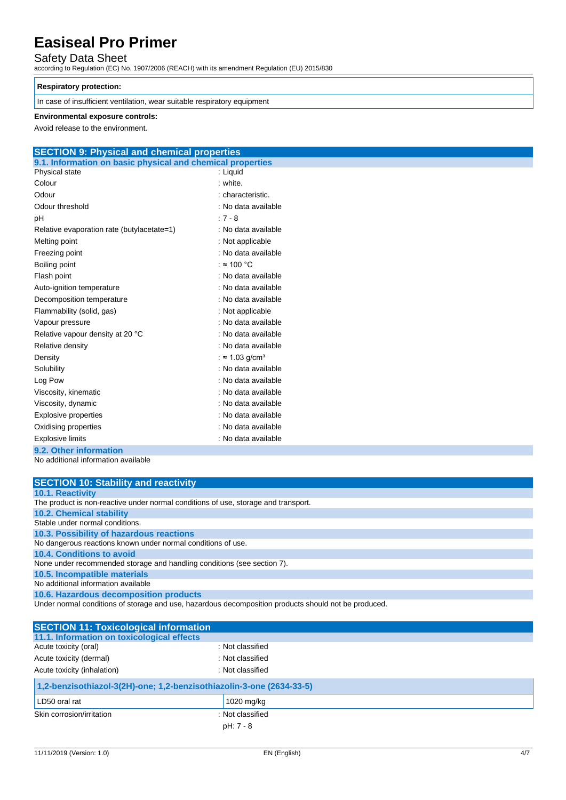## Safety Data Sheet

according to Regulation (EC) No. 1907/2006 (REACH) with its amendment Regulation (EU) 2015/830

### **Respiratory protection:**

In case of insufficient ventilation, wear suitable respiratory equipment

### **Environmental exposure controls:**

Avoid release to the environment.

| <b>SECTION 9: Physical and chemical properties</b>         |                                    |  |
|------------------------------------------------------------|------------------------------------|--|
| 9.1. Information on basic physical and chemical properties |                                    |  |
| Physical state                                             | : Liquid                           |  |
| Colour                                                     | : white.                           |  |
| Odour                                                      | : characteristic.                  |  |
| Odour threshold                                            | : No data available                |  |
| pH                                                         | $:7 - 8$                           |  |
| Relative evaporation rate (butylacetate=1)                 | : No data available                |  |
| Melting point                                              | : Not applicable                   |  |
| Freezing point                                             | : No data available                |  |
| Boiling point                                              | : $\approx$ 100 °C                 |  |
| Flash point                                                | : No data available                |  |
| Auto-ignition temperature                                  | : No data available                |  |
| Decomposition temperature                                  | : No data available                |  |
| Flammability (solid, gas)                                  | : Not applicable                   |  |
| Vapour pressure                                            | : No data available                |  |
| Relative vapour density at 20 °C                           | : No data available                |  |
| Relative density                                           | : No data available                |  |
| Density                                                    | : $\approx$ 1.03 g/cm <sup>3</sup> |  |
| Solubility                                                 | : No data available                |  |
| Log Pow                                                    | : No data available                |  |
| Viscosity, kinematic                                       | : No data available                |  |
| Viscosity, dynamic                                         | : No data available                |  |
| <b>Explosive properties</b>                                | : No data available                |  |
| Oxidising properties                                       | : No data available                |  |
| <b>Explosive limits</b>                                    | : No data available                |  |
| 0.0. Other information                                     |                                    |  |

**9.2. Other information** No additional information available

| <b>SECTION 10: Stability and reactivity</b>                                                          |
|------------------------------------------------------------------------------------------------------|
| <b>10.1. Reactivity</b>                                                                              |
| The product is non-reactive under normal conditions of use, storage and transport.                   |
| <b>10.2. Chemical stability</b>                                                                      |
| Stable under normal conditions.                                                                      |
| 10.3. Possibility of hazardous reactions                                                             |
| No dangerous reactions known under normal conditions of use.                                         |
| 10.4. Conditions to avoid                                                                            |
| None under recommended storage and handling conditions (see section 7).                              |
| 10.5. Incompatible materials                                                                         |
| No additional information available                                                                  |
| 10.6. Hazardous decomposition products                                                               |
| Under normal conditions of storage and use, hazardous decomposition products should not be produced. |

| <b>SECTION 11: Toxicological information</b>                         |                  |
|----------------------------------------------------------------------|------------------|
| 11.1. Information on toxicological effects                           |                  |
| Acute toxicity (oral)                                                | : Not classified |
| Acute toxicity (dermal)                                              | : Not classified |
| Acute toxicity (inhalation)                                          | : Not classified |
| 1,2-benzisothiazol-3(2H)-one; 1,2-benzisothiazolin-3-one (2634-33-5) |                  |
| LD50 oral rat                                                        | 1020 mg/kg       |
| Skin corrosion/irritation                                            | : Not classified |
|                                                                      | pH: 7 - 8        |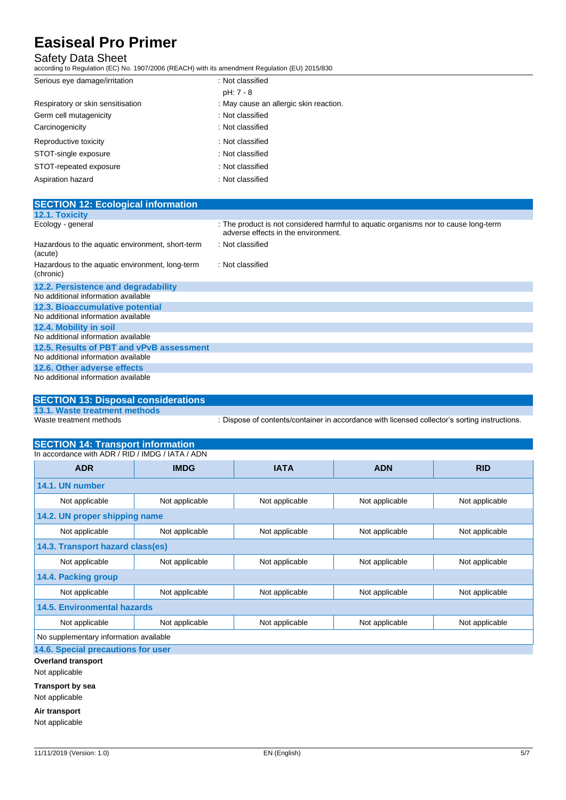### Safety Data Sheet

according to Regulation (EC) No. 1907/2006 (REACH) with its amendment Regulation (EU) 2015/830

| Serious eye damage/irritation     | : Not classified                       |
|-----------------------------------|----------------------------------------|
|                                   | pH: 7 - 8                              |
| Respiratory or skin sensitisation | : May cause an allergic skin reaction. |
| Germ cell mutagenicity            | : Not classified                       |
| Carcinogenicity                   | : Not classified                       |
| Reproductive toxicity             | : Not classified                       |
| STOT-single exposure              | : Not classified                       |
| STOT-repeated exposure            | : Not classified                       |
| Aspiration hazard                 | : Not classified                       |

| <b>SECTION 12: Ecological information</b>                    |                                                                                                                            |
|--------------------------------------------------------------|----------------------------------------------------------------------------------------------------------------------------|
| 12.1. Toxicity                                               |                                                                                                                            |
| Ecology - general                                            | : The product is not considered harmful to aquatic organisms nor to cause long-term<br>adverse effects in the environment. |
| Hazardous to the aquatic environment, short-term<br>(acute)  | : Not classified                                                                                                           |
| Hazardous to the aquatic environment, long-term<br>(chronic) | : Not classified                                                                                                           |
| 12.2. Persistence and degradability                          |                                                                                                                            |
| No additional information available                          |                                                                                                                            |
| 12.3. Bioaccumulative potential                              |                                                                                                                            |
| No additional information available                          |                                                                                                                            |
| 12.4. Mobility in soil                                       |                                                                                                                            |
| No additional information available                          |                                                                                                                            |
| 12.5. Results of PBT and vPvB assessment                     |                                                                                                                            |
| No additional information available                          |                                                                                                                            |
| 12.6. Other adverse effects                                  |                                                                                                                            |
| No additional information available                          |                                                                                                                            |

## **SECTION 13: Disposal considerations 13.1. Waste treatment methods**

: Dispose of contents/container in accordance with licensed collector's sorting instructions.

## **SECTION 14: Transport information**

| In accordance with ADR / RID / IMDG / IATA / ADN |                |                |                |                |  |
|--------------------------------------------------|----------------|----------------|----------------|----------------|--|
| <b>ADR</b>                                       | <b>IMDG</b>    | <b>IATA</b>    | <b>ADN</b>     | <b>RID</b>     |  |
| 14.1. UN number                                  |                |                |                |                |  |
| Not applicable                                   | Not applicable | Not applicable | Not applicable | Not applicable |  |
| 14.2. UN proper shipping name                    |                |                |                |                |  |
| Not applicable                                   | Not applicable | Not applicable | Not applicable | Not applicable |  |
| 14.3. Transport hazard class(es)                 |                |                |                |                |  |
| Not applicable                                   | Not applicable | Not applicable | Not applicable | Not applicable |  |
| 14.4. Packing group                              |                |                |                |                |  |
| Not applicable                                   | Not applicable | Not applicable | Not applicable | Not applicable |  |
| 14.5. Environmental hazards                      |                |                |                |                |  |
| Not applicable                                   | Not applicable | Not applicable | Not applicable | Not applicable |  |
| No supplementary information available           |                |                |                |                |  |
| 14.6. Special precautions for user               |                |                |                |                |  |

**Overland transport**

Not applicable

**Transport by sea**

Not applicable

**Air transport**

Not applicable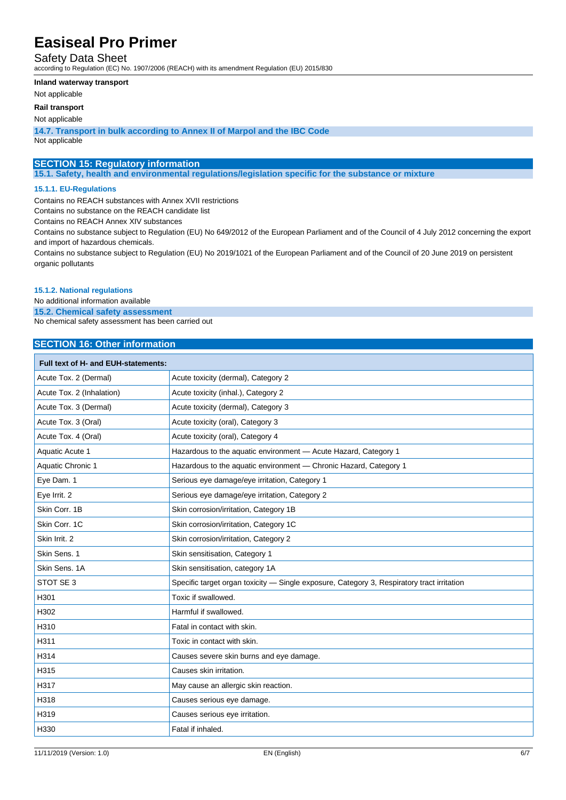### Safety Data Sheet

according to Regulation (EC) No. 1907/2006 (REACH) with its amendment Regulation (EU) 2015/830

#### **Inland waterway transport**

Not applicable

### **Rail transport**

Not applicable

**14.7. Transport in bulk according to Annex II of Marpol and the IBC Code** Not applicable

## **SECTION 15: Regulatory information**

**15.1. Safety, health and environmental regulations/legislation specific for the substance or mixture**

#### **15.1.1. EU-Regulations**

Contains no REACH substances with Annex XVII restrictions

Contains no substance on the REACH candidate list

Contains no REACH Annex XIV substances

Contains no substance subject to Regulation (EU) No 649/2012 of the European Parliament and of the Council of 4 July 2012 concerning the export and import of hazardous chemicals.

Contains no substance subject to Regulation (EU) No 2019/1021 of the European Parliament and of the Council of 20 June 2019 on persistent organic pollutants

#### **15.1.2. National regulations**

No additional information available

**15.2. Chemical safety assessment**

No chemical safety assessment has been carried out

### **SECTION 16: Other information**

| Full text of H- and EUH-statements: |                                                                                            |  |
|-------------------------------------|--------------------------------------------------------------------------------------------|--|
| Acute Tox. 2 (Dermal)               | Acute toxicity (dermal), Category 2                                                        |  |
| Acute Tox. 2 (Inhalation)           | Acute toxicity (inhal.), Category 2                                                        |  |
| Acute Tox. 3 (Dermal)               | Acute toxicity (dermal), Category 3                                                        |  |
| Acute Tox. 3 (Oral)                 | Acute toxicity (oral), Category 3                                                          |  |
| Acute Tox. 4 (Oral)                 | Acute toxicity (oral), Category 4                                                          |  |
| Aquatic Acute 1                     | Hazardous to the aquatic environment - Acute Hazard, Category 1                            |  |
| Aquatic Chronic 1                   | Hazardous to the aquatic environment - Chronic Hazard, Category 1                          |  |
| Eye Dam. 1                          | Serious eye damage/eye irritation, Category 1                                              |  |
| Eye Irrit. 2                        | Serious eye damage/eye irritation, Category 2                                              |  |
| Skin Corr. 1B                       | Skin corrosion/irritation, Category 1B                                                     |  |
| Skin Corr. 1C                       | Skin corrosion/irritation, Category 1C                                                     |  |
| Skin Irrit. 2                       | Skin corrosion/irritation, Category 2                                                      |  |
| Skin Sens. 1                        | Skin sensitisation, Category 1                                                             |  |
| Skin Sens, 1A                       | Skin sensitisation, category 1A                                                            |  |
| STOT SE 3                           | Specific target organ toxicity — Single exposure, Category 3, Respiratory tract irritation |  |
| H301                                | Toxic if swallowed.                                                                        |  |
| H302                                | Harmful if swallowed.                                                                      |  |
| H310                                | Fatal in contact with skin.                                                                |  |
| H311                                | Toxic in contact with skin.                                                                |  |
| H314                                | Causes severe skin burns and eye damage.                                                   |  |
| H315                                | Causes skin irritation.                                                                    |  |
| H317                                | May cause an allergic skin reaction.                                                       |  |
| H318                                | Causes serious eye damage.                                                                 |  |
| H319                                | Causes serious eye irritation.                                                             |  |
| H330                                | Fatal if inhaled.                                                                          |  |